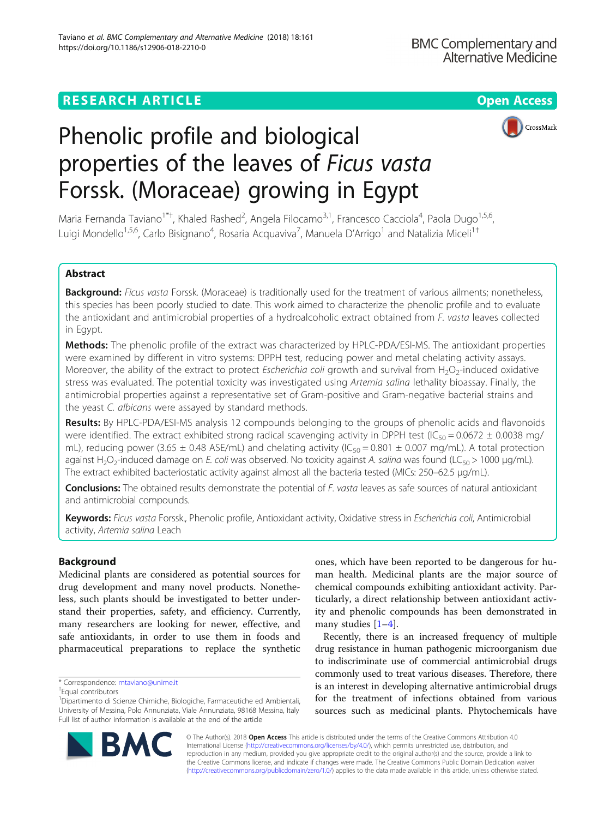# **RESEARCH ARTICLE Example 2018 12:30 THE Open Access**





# Phenolic profile and biological properties of the leaves of Ficus vasta Forssk. (Moraceae) growing in Egypt

Maria Fernanda Taviano<sup>1\*†</sup>, Khaled Rashed<sup>2</sup>, Angela Filocamo<sup>3,1</sup>, Francesco Cacciola<sup>4</sup>, Paola Dugo<sup>1,5,6</sup>, Luigi Mondello<sup>1,5,6</sup>, Carlo Bisignano<sup>4</sup>, Rosaria Acquaviva<sup>7</sup>, Manuela D'Arrigo<sup>1</sup> and Natalizia Miceli<sup>1†</sup>

# Abstract

Background: Ficus vasta Forssk. (Moraceae) is traditionally used for the treatment of various ailments; nonetheless, this species has been poorly studied to date. This work aimed to characterize the phenolic profile and to evaluate the antioxidant and antimicrobial properties of a hydroalcoholic extract obtained from F. vasta leaves collected in Egypt.

Methods: The phenolic profile of the extract was characterized by HPLC-PDA/ESI-MS. The antioxidant properties were examined by different in vitro systems: DPPH test, reducing power and metal chelating activity assays. Moreover, the ability of the extract to protect Escherichia coli growth and survival from  $H_2O_2$ -induced oxidative stress was evaluated. The potential toxicity was investigated using Artemia salina lethality bioassay. Finally, the antimicrobial properties against a representative set of Gram-positive and Gram-negative bacterial strains and the yeast C. albicans were assayed by standard methods.

Results: By HPLC-PDA/ESI-MS analysis 12 compounds belonging to the groups of phenolic acids and flavonoids were identified. The extract exhibited strong radical scavenging activity in DPPH test (IC<sub>50</sub> = 0.0672  $\pm$  0.0038 mg/ mL), reducing power (3.65  $\pm$  0.48 ASE/mL) and chelating activity (IC<sub>50</sub> = 0.801  $\pm$  0.007 mg/mL). A total protection against H<sub>2</sub>O<sub>2</sub>-induced damage on E. coli was observed. No toxicity against A. salina was found (LC<sub>50</sub> > 1000 µg/mL). The extract exhibited bacteriostatic activity against almost all the bacteria tested (MICs: 250–62.5 μg/mL).

Conclusions: The obtained results demonstrate the potential of F. vasta leaves as safe sources of natural antioxidant and antimicrobial compounds.

Keywords: Ficus vasta Forssk., Phenolic profile, Antioxidant activity, Oxidative stress in Escherichia coli, Antimicrobial activity, Artemia salina Leach

# Background

Medicinal plants are considered as potential sources for drug development and many novel products. Nonetheless, such plants should be investigated to better understand their properties, safety, and efficiency. Currently, many researchers are looking for newer, effective, and safe antioxidants, in order to use them in foods and pharmaceutical preparations to replace the synthetic

ones, which have been reported to be dangerous for human health. Medicinal plants are the major source of chemical compounds exhibiting antioxidant activity. Particularly, a direct relationship between antioxidant activity and phenolic compounds has been demonstrated in many studies  $[1-4]$  $[1-4]$  $[1-4]$  $[1-4]$ .

Recently, there is an increased frequency of multiple drug resistance in human pathogenic microorganism due to indiscriminate use of commercial antimicrobial drugs commonly used to treat various diseases. Therefore, there is an interest in developing alternative antimicrobial drugs for the treatment of infections obtained from various sources such as medicinal plants. Phytochemicals have



© The Author(s). 2018 Open Access This article is distributed under the terms of the Creative Commons Attribution 4.0 International License [\(http://creativecommons.org/licenses/by/4.0/](http://creativecommons.org/licenses/by/4.0/)), which permits unrestricted use, distribution, and reproduction in any medium, provided you give appropriate credit to the original author(s) and the source, provide a link to the Creative Commons license, and indicate if changes were made. The Creative Commons Public Domain Dedication waiver [\(http://creativecommons.org/publicdomain/zero/1.0/](http://creativecommons.org/publicdomain/zero/1.0/)) applies to the data made available in this article, unless otherwise stated.

<sup>\*</sup> Correspondence: [mtaviano@unime.it](mailto:mtaviano@unime.it) †

Equal contributors

<sup>&</sup>lt;sup>1</sup>Dipartimento di Scienze Chimiche, Biologiche, Farmaceutiche ed Ambientali, University of Messina, Polo Annunziata, Viale Annunziata, 98168 Messina, Italy Full list of author information is available at the end of the article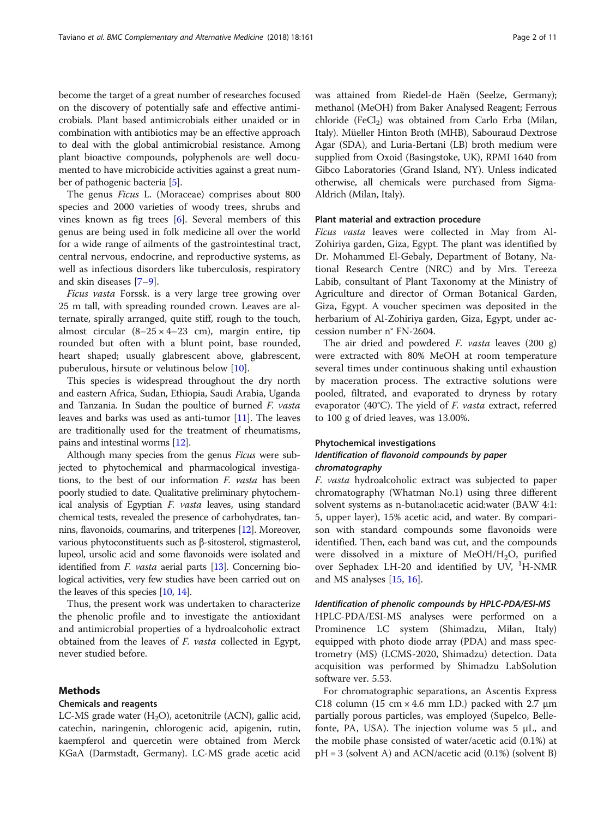become the target of a great number of researches focused on the discovery of potentially safe and effective antimicrobials. Plant based antimicrobials either unaided or in combination with antibiotics may be an effective approach to deal with the global antimicrobial resistance. Among plant bioactive compounds, polyphenols are well documented to have microbicide activities against a great number of pathogenic bacteria [\[5](#page-9-0)].

The genus Ficus L. (Moraceae) comprises about 800 species and 2000 varieties of woody trees, shrubs and vines known as fig trees [[6\]](#page-9-0). Several members of this genus are being used in folk medicine all over the world for a wide range of ailments of the gastrointestinal tract, central nervous, endocrine, and reproductive systems, as well as infectious disorders like tuberculosis, respiratory and skin diseases [[7](#page-9-0)–[9\]](#page-9-0).

Ficus vasta Forssk. is a very large tree growing over 25 m tall, with spreading rounded crown. Leaves are alternate, spirally arranged, quite stiff, rough to the touch, almost circular  $(8-25 \times 4-23$  cm), margin entire, tip rounded but often with a blunt point, base rounded, heart shaped; usually glabrescent above, glabrescent, puberulous, hirsute or velutinous below [\[10](#page-9-0)].

This species is widespread throughout the dry north and eastern Africa, Sudan, Ethiopia, Saudi Arabia, Uganda and Tanzania. In Sudan the poultice of burned F. vasta leaves and barks was used as anti-tumor [\[11\]](#page-9-0). The leaves are traditionally used for the treatment of rheumatisms, pains and intestinal worms [[12](#page-9-0)].

Although many species from the genus Ficus were subjected to phytochemical and pharmacological investigations, to the best of our information F. vasta has been poorly studied to date. Qualitative preliminary phytochemical analysis of Egyptian F. vasta leaves, using standard chemical tests, revealed the presence of carbohydrates, tannins, flavonoids, coumarins, and triterpenes [\[12\]](#page-9-0). Moreover, various phytoconstituents such as β-sitosterol, stigmasterol, lupeol, ursolic acid and some flavonoids were isolated and identified from *F. vasta* aerial parts [[13](#page-9-0)]. Concerning biological activities, very few studies have been carried out on the leaves of this species [\[10](#page-9-0), [14](#page-10-0)].

Thus, the present work was undertaken to characterize the phenolic profile and to investigate the antioxidant and antimicrobial properties of a hydroalcoholic extract obtained from the leaves of F. vasta collected in Egypt, never studied before.

#### Methods

# Chemicals and reagents

LC-MS grade water  $(H_2O)$ , acetonitrile (ACN), gallic acid, catechin, naringenin, chlorogenic acid, apigenin, rutin, kaempferol and quercetin were obtained from Merck KGaA (Darmstadt, Germany). LC-MS grade acetic acid was attained from Riedel-de Haën (Seelze, Germany); methanol (MeOH) from Baker Analysed Reagent; Ferrous  $chloride$  (FeCl<sub>2</sub>) was obtained from Carlo Erba (Milan, Italy). Müeller Hinton Broth (MHB), Sabouraud Dextrose Agar (SDA), and Luria-Bertani (LB) broth medium were supplied from Oxoid (Basingstoke, UK), RPMI 1640 from Gibco Laboratories (Grand Island, NY). Unless indicated otherwise, all chemicals were purchased from Sigma-Aldrich (Milan, Italy).

#### Plant material and extraction procedure

Ficus vasta leaves were collected in May from Al-Zohiriya garden, Giza, Egypt. The plant was identified by Dr. Mohammed El-Gebaly, Department of Botany, National Research Centre (NRC) and by Mrs. Tereeza Labib, consultant of Plant Taxonomy at the Ministry of Agriculture and director of Orman Botanical Garden, Giza, Egypt. A voucher specimen was deposited in the herbarium of Al-Zohiriya garden, Giza, Egypt, under accession number n° FN-2604.

The air dried and powdered  $F$ . vasta leaves (200 g) were extracted with 80% MeOH at room temperature several times under continuous shaking until exhaustion by maceration process. The extractive solutions were pooled, filtrated, and evaporated to dryness by rotary evaporator (40 $^{\circ}$ C). The yield of *F. vasta* extract, referred to 100 g of dried leaves, was 13.00%.

#### Phytochemical investigations

# Identification of flavonoid compounds by paper chromatography

F. vasta hydroalcoholic extract was subjected to paper chromatography (Whatman No.1) using three different solvent systems as n-butanol:acetic acid:water (BAW 4:1: 5, upper layer), 15% acetic acid, and water. By comparison with standard compounds some flavonoids were identified. Then, each band was cut, and the compounds were dissolved in a mixture of MeOH/H<sub>2</sub>O, purified over Sephadex LH-20 and identified by UV, <sup>1</sup>H-NMR and MS analyses [[15,](#page-10-0) [16\]](#page-10-0).

#### Identification of phenolic compounds by HPLC-PDA/ESI-MS

HPLC-PDA/ESI-MS analyses were performed on a Prominence LC system (Shimadzu, Milan, Italy) equipped with photo diode array (PDA) and mass spectrometry (MS) (LCMS-2020, Shimadzu) detection. Data acquisition was performed by Shimadzu LabSolution software ver. 5.53.

For chromatographic separations, an Ascentis Express C18 column (15 cm  $\times$  4.6 mm I.D.) packed with 2.7 µm partially porous particles, was employed (Supelco, Bellefonte, PA, USA). The injection volume was  $5 \mu L$ , and the mobile phase consisted of water/acetic acid (0.1%) at  $pH = 3$  (solvent A) and ACN/acetic acid  $(0.1\%)$  (solvent B)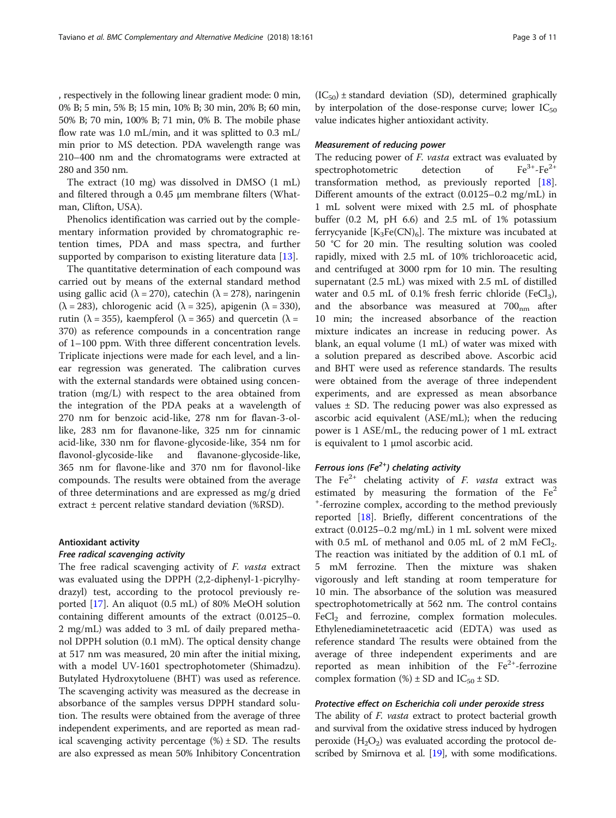, respectively in the following linear gradient mode: 0 min, 0% B; 5 min, 5% B; 15 min, 10% B; 30 min, 20% B; 60 min, 50% B; 70 min, 100% B; 71 min, 0% B. The mobile phase flow rate was 1.0 mL/min, and it was splitted to 0.3 mL/ min prior to MS detection. PDA wavelength range was 210–400 nm and the chromatograms were extracted at 280 and 350 nm.

The extract (10 mg) was dissolved in DMSO (1 mL) and filtered through a 0.45 μm membrane filters (Whatman, Clifton, USA).

Phenolics identification was carried out by the complementary information provided by chromatographic retention times, PDA and mass spectra, and further supported by comparison to existing literature data [\[13\]](#page-9-0).

The quantitative determination of each compound was carried out by means of the external standard method using gallic acid ( $\lambda = 270$ ), catechin ( $\lambda = 278$ ), naringenin ( $\lambda = 283$ ), chlorogenic acid ( $\lambda = 325$ ), apigenin ( $\lambda = 330$ ), rutin (λ = 355), kaempferol (λ = 365) and quercetin (λ = 370) as reference compounds in a concentration range of 1–100 ppm. With three different concentration levels. Triplicate injections were made for each level, and a linear regression was generated. The calibration curves with the external standards were obtained using concentration (mg/L) with respect to the area obtained from the integration of the PDA peaks at a wavelength of 270 nm for benzoic acid-like, 278 nm for flavan-3-ollike, 283 nm for flavanone-like, 325 nm for cinnamic acid-like, 330 nm for flavone-glycoside-like, 354 nm for flavonol-glycoside-like and flavanone-glycoside-like, 365 nm for flavone-like and 370 nm for flavonol-like compounds. The results were obtained from the average of three determinations and are expressed as mg/g dried extract ± percent relative standard deviation (%RSD).

#### Antioxidant activity

# Free radical scavenging activity

The free radical scavenging activity of *F. vasta* extract was evaluated using the DPPH (2,2-diphenyl-1-picrylhydrazyl) test, according to the protocol previously reported [[17\]](#page-10-0). An aliquot (0.5 mL) of 80% MeOH solution containing different amounts of the extract (0.0125–0. 2 mg/mL) was added to 3 mL of daily prepared methanol DPPH solution (0.1 mM). The optical density change at 517 nm was measured, 20 min after the initial mixing, with a model UV-1601 spectrophotometer (Shimadzu). Butylated Hydroxytoluene (BHT) was used as reference. The scavenging activity was measured as the decrease in absorbance of the samples versus DPPH standard solution. The results were obtained from the average of three independent experiments, and are reported as mean radical scavenging activity percentage  $(\%) \pm SD$ . The results are also expressed as mean 50% Inhibitory Concentration

 $(IC_{50})$  ± standard deviation (SD), determined graphically by interpolation of the dose-response curve; lower  $IC_{50}$ value indicates higher antioxidant activity.

# Measurement of reducing power

The reducing power of *F. vasta* extract was evaluated by<br>spectrophotometric detection of  $Fe^{3+}Fe^{2+}$ spectrophotometric detection of transformation method, as previously reported [\[18](#page-10-0)]. Different amounts of the extract (0.0125–0.2 mg/mL) in 1 mL solvent were mixed with 2.5 mL of phosphate buffer (0.2 M, pH 6.6) and 2.5 mL of 1% potassium ferrycyanide  $[K_3Fe(CN)_6]$ . The mixture was incubated at 50 °C for 20 min. The resulting solution was cooled rapidly, mixed with 2.5 mL of 10% trichloroacetic acid, and centrifuged at 3000 rpm for 10 min. The resulting supernatant (2.5 mL) was mixed with 2.5 mL of distilled water and 0.5 mL of 0.1% fresh ferric chloride (FeCl<sub>3</sub>), and the absorbance was measured at  $700<sub>nm</sub>$  after 10 min; the increased absorbance of the reaction mixture indicates an increase in reducing power. As blank, an equal volume (1 mL) of water was mixed with a solution prepared as described above. Ascorbic acid and BHT were used as reference standards. The results were obtained from the average of three independent experiments, and are expressed as mean absorbance values  $\pm$  SD. The reducing power was also expressed as ascorbic acid equivalent (ASE/mL); when the reducing power is 1 ASE/mL, the reducing power of 1 mL extract is equivalent to 1 μmol ascorbic acid.

# Ferrous ions (Fe<sup>2+</sup>) chelating activity

The  $Fe^{2+}$  chelating activity of *F. vasta* extract was estimated by measuring the formation of the  $Fe<sup>2</sup>$ + -ferrozine complex, according to the method previously reported [[18\]](#page-10-0). Briefly, different concentrations of the extract (0.0125–0.2 mg/mL) in 1 mL solvent were mixed with 0.5 mL of methanol and 0.05 mL of 2 mM FeCl<sub>2</sub>. The reaction was initiated by the addition of 0.1 mL of 5 mM ferrozine. Then the mixture was shaken vigorously and left standing at room temperature for 10 min. The absorbance of the solution was measured spectrophotometrically at 562 nm. The control contains  $FeCl<sub>2</sub>$  and ferrozine, complex formation molecules. Ethylenediaminetetraacetic acid (EDTA) was used as reference standard The results were obtained from the average of three independent experiments and are reported as mean inhibition of the  $Fe<sup>2+</sup>$ -ferrozine complex formation  $(\%) \pm SD$  and IC<sub>50</sub>  $\pm SD$ .

# Protective effect on Escherichia coli under peroxide stress

The ability of *F. vasta* extract to protect bacterial growth and survival from the oxidative stress induced by hydrogen peroxide  $(H_2O_2)$  was evaluated according the protocol de-scribed by Smirnova et al. [\[19](#page-10-0)], with some modifications.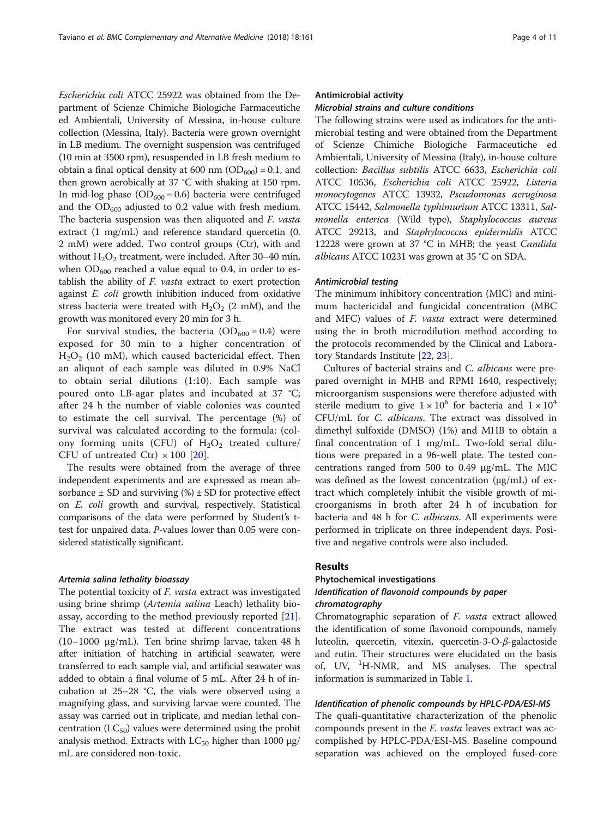Escherichia coli ATCC 25922 was obtained from the Department of Scienze Chimiche Biologiche Farmaceutiche ed Ambientali, University of Messina, in-house culture collection (Messina, Italy). Bacteria were grown overnight in LB medium. The overnight suspension was centrifuged (10 min at 3500 rpm), resuspended in LB fresh medium to obtain a final optical density at 600 nm  $(OD_{600}) = 0.1$ , and then grown aerobically at 37 °C with shaking at 150 rpm. In mid-log phase  $OD_{600} = 0.6$ ) bacteria were centrifuged and the  $OD_{600}$  adjusted to 0.2 value with fresh medium. The bacteria suspension was then aliquoted and F. vasta extract (1 mg/mL) and reference standard quercetin (0. 2 mM) were added. Two control groups (Ctr), with and without  $H_2O_2$  treatment, were included. After 30–40 min, when  $OD_{600}$  reached a value equal to 0.4, in order to establish the ability of  $F$ . vasta extract to exert protection against E. coli growth inhibition induced from oxidative stress bacteria were treated with  $H_2O_2$  (2 mM), and the growth was monitored every 20 min for 3 h.

For survival studies, the bacteria  $OD_{600} = 0.4$ ) were exposed for 30 min to a higher concentration of  $H<sub>2</sub>O<sub>2</sub>$  (10 mM), which caused bactericidal effect. Then an aliquot of each sample was diluted in 0.9% NaCl to obtain serial dilutions (1:10). Each sample was poured onto LB-agar plates and incubated at 37 °C; after 24 h the number of viable colonies was counted to estimate the cell survival. The percentage (%) of survival was calculated according to the formula: (colony forming units (CFU) of  $H_2O_2$  treated culture/ CFU of untreated Ctr)  $\times$  100 [[20\]](#page-10-0).

The results were obtained from the average of three independent experiments and are expressed as mean absorbance  $\pm$  SD and surviving  $(\%) \pm$  SD for protective effect on E. coli growth and survival, respectively. Statistical comparisons of the data were performed by Student's ttest for unpaired data. P-values lower than 0.05 were considered statistically significant.

# Artemia salina lethality bioassay

The potential toxicity of *F. vasta* extract was investigated using brine shrimp (Artemia salina Leach) lethality bioassay, according to the method previously reported [\[21](#page-10-0)]. The extract was tested at different concentrations (10–1000 μg/mL). Ten brine shrimp larvae, taken 48 h after initiation of hatching in artificial seawater, were transferred to each sample vial, and artificial seawater was added to obtain a final volume of 5 mL. After 24 h of incubation at 25–28 °C, the vials were observed using a magnifying glass, and surviving larvae were counted. The assay was carried out in triplicate, and median lethal concentration  $(LC_{50})$  values were determined using the probit analysis method. Extracts with  $LC_{50}$  higher than 1000 μg/ mL are considered non-toxic.

# Antimicrobial activity

#### Microbial strains and culture conditions

The following strains were used as indicators for the antimicrobial testing and were obtained from the Department of Scienze Chimiche Biologiche Farmaceutiche ed Ambientali, University of Messina (Italy), in-house culture collection: Bacillus subtilis ATCC 6633, Escherichia coli ATCC 10536, Escherichia coli ATCC 25922, Listeria monocytogenes ATCC 13932, Pseudomonas aeruginosa ATCC 15442, Salmonella typhimurium ATCC 13311, Salmonella enterica (Wild type), Staphylococcus aureus ATCC 29213, and Staphylococcus epidermidis ATCC 12228 were grown at 37 °C in MHB; the yeast Candida albicans ATCC 10231 was grown at 35 °C on SDA.

#### Antimicrobial testing

The minimum inhibitory concentration (MIC) and minimum bactericidal and fungicidal concentration (MBC and MFC) values of F. vasta extract were determined using the in broth microdilution method according to the protocols recommended by the Clinical and Laboratory Standards Institute [[22](#page-10-0), [23](#page-10-0)].

Cultures of bacterial strains and C. albicans were prepared overnight in MHB and RPMI 1640, respectively; microorganism suspensions were therefore adjusted with sterile medium to give  $1 \times 10^6$  for bacteria and  $1 \times 10^4$ CFU/mL for C. albicans. The extract was dissolved in dimethyl sulfoxide (DMSO) (1%) and MHB to obtain a final concentration of 1 mg/mL. Two-fold serial dilutions were prepared in a 96-well plate. The tested concentrations ranged from 500 to 0.49 μg/mL. The MIC was defined as the lowest concentration (μg/mL) of extract which completely inhibit the visible growth of microorganisms in broth after 24 h of incubation for bacteria and 48 h for C. albicans. All experiments were performed in triplicate on three independent days. Positive and negative controls were also included.

# Results

# Phytochemical investigations Identification of flavonoid compounds by paper chromatography

Chromatographic separation of F. vasta extract allowed the identification of some flavonoid compounds, namely luteolin, quercetin, vitexin, quercetin-3-O-β-galactoside and rutin. Their structures were elucidated on the basis of, UV, <sup>1</sup> H-NMR, and MS analyses. The spectral information is summarized in Table [1.](#page-4-0)

# Identification of phenolic compounds by HPLC-PDA/ESI-MS

The quali-quantitative characterization of the phenolic compounds present in the F. vasta leaves extract was accomplished by HPLC-PDA/ESI-MS. Baseline compound separation was achieved on the employed fused-core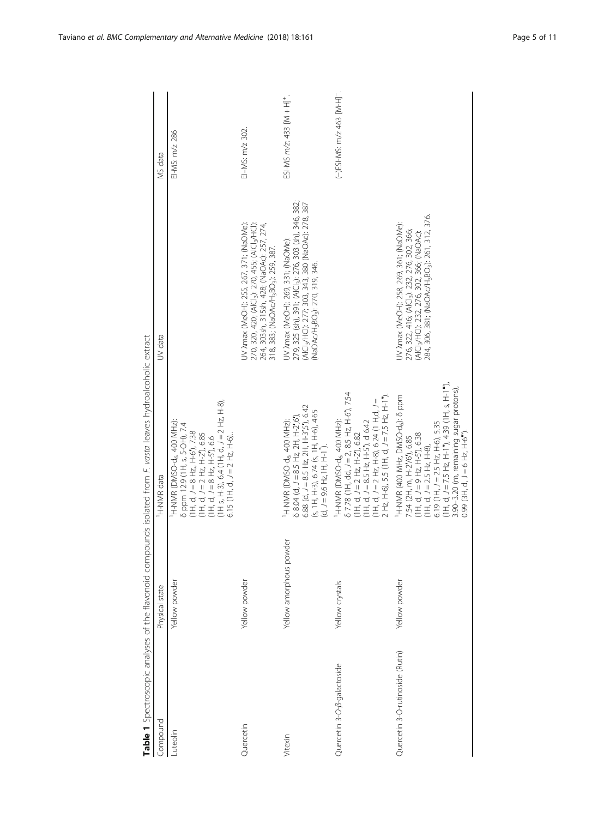<span id="page-4-0"></span>

|                                  |                         | Table 1 Spectroscopic analyses of the flavonoid compounds isolated from F. vasta leaves hydroalcoholic extract                                                                                                                                                                                           |                                                                                                                                                                                                                                               |                                               |
|----------------------------------|-------------------------|----------------------------------------------------------------------------------------------------------------------------------------------------------------------------------------------------------------------------------------------------------------------------------------------------------|-----------------------------------------------------------------------------------------------------------------------------------------------------------------------------------------------------------------------------------------------|-----------------------------------------------|
| Compound                         | Physical state          | H-NMR data                                                                                                                                                                                                                                                                                               | UV data                                                                                                                                                                                                                                       | MS data                                       |
| Luteolin                         | Yellow powder           | $(1H s, H-3), 6.4 (1H, d, J = 2 Hz, H-8).$<br>H-NMR (DMSO-d <sub>6</sub> , 400 MH <sub>2</sub> ):<br>δ ppm 12.9 (1H, s, 5-OH), 7.4<br>(1H, d, J = 8 Hz, H-6), 7.38<br>(1H, d, J = 2 Hz, H-2), 6.85<br>(1H, d, J = 8 Hz, H-5), 6.6<br>6.15 (1H, d, $J = 2$ Hz, H-6).                                      |                                                                                                                                                                                                                                               | EI-MS: m/z 286                                |
| Quercetin                        | Yellow powder           |                                                                                                                                                                                                                                                                                                          | 270, 320, 420; (AlCl3): 270, 455; (AlCl3/HCl):<br>JV Amax (MeOH): 255, 267, 371; (NaOMe):<br>264, 303sh, 315sh, 428; (NaOAc): 257, 274,<br>318, 383; (NaOAc/H <sub>3</sub> BO <sub>3</sub> ): 259, 387.                                       | EI-MS: m/z 302.                               |
| Vitexin                          | Yellow amorphous powder | 6.88 (d, $J = 8.5$ Hz, $2H$ , $H = 3'5'$ ), 6.42<br>$(s, 1H, H-3), 6.74 (s, 1H, H-6), 4.65$<br>$68.04$ (d, $J = 8.5$ Hz, $2H$ , H-2',6'),<br><sup>1</sup> H-NMR (DMSO-d <sub>6</sub> , 400 MHz):<br>$(d, j = 9.6$ Hz, IH, H-1).                                                                          | 279, 325 (sh), 391; (AlCl <sub>3</sub> ): 276, 303 (sh), 346, 382;<br>(AICI <sub>3</sub> /HCI): 277; 303, 343, 380 (NaOAc): 278, 387<br>UV $\lambda$ max (MeOH): 269, 331; (NaOMe):<br>NaOAc/H <sub>3</sub> BO <sub>3</sub> ): 270, 319, 346. | $ESI-MS$ $m/z$ : 433 $[M + H]$ <sup>+</sup> . |
| Quercetin 3-O-ß-galactoside      | Yellow crystals         | $\delta$ 7.78 (1H, dd, $J = 2$ , 8.5 Hz, H-6), 7.54<br>$2$ Hz, H-6), 5.5 (1H, d, J = 7.5 Hz, H-1").<br>$(1H, d, J = 8.5 Hz, H-S$ ), d 6.42<br>(1H, d, J = 2 Hz, H-8), 6.24 (1 H,d, J =<br>H-NMR (DMSO-d <sub>6</sub> , 400 MHz):<br>$(H, d, J = 2 Hz, H-2), 6.82$                                        |                                                                                                                                                                                                                                               | $(-)ES1-MS: m/z 463 [M+H]$ .                  |
| Quercetin 3-O-rutinoside (Rutin) | Yellow powder           | $(H, d, J = 7.5 Hz, H-1"), 4.39 (IH, s, H-1'").$<br>3.90-3.20 (m, remaining sugar protons),<br>H-NMR (400 MHz, DMSO-da): 6 ppm<br>6.19 (1H, $J = 2.5$ Hz, H-6), 5.35<br>0.99 $(3H, d, J = 6 Hz, H-6m)$ .<br>$(1H, d, J = 9 Hz, H-5), 6.38$<br>7.54 (2H, m, H-2'/6'), 6.85<br>$(1H, d, J = 2.5 Hz, H-8),$ | 284, 306, 381; (NaOAc/H <sub>3</sub> BO <sub>3</sub> ): 261, 312, 376.<br>JV Amax (MeOH): 258, 269, 361; (NaOMe):<br>276, 322, 416; (AICl <sub>3</sub> ): 232, 276, 302, 366;<br>(AICI <sub>3</sub> /HCI): 232, 276, 302, 366; (NaOAC):       |                                               |
|                                  |                         |                                                                                                                                                                                                                                                                                                          |                                                                                                                                                                                                                                               |                                               |

Table 1 Spectroscopic analyses of the flavonoid compounds isolated from F. vasta leaves hydroalcoholic extract  $\frac{1}{2}$ نج  $\frac{1}{2}$  $\frac{1}{2}$ ءَ<br>گ  $\frac{1}{2}$  $\overline{L}$  $\frac{4}{7}$  $\frac{1}{2}$ ्र  $\mathbb{R}$  $\frac{1}{4}$  $\rightarrow$ -4  $\frac{3}{2}$  $\frac{1}{2}$ ે  $\tilde{\mathbf{r}}$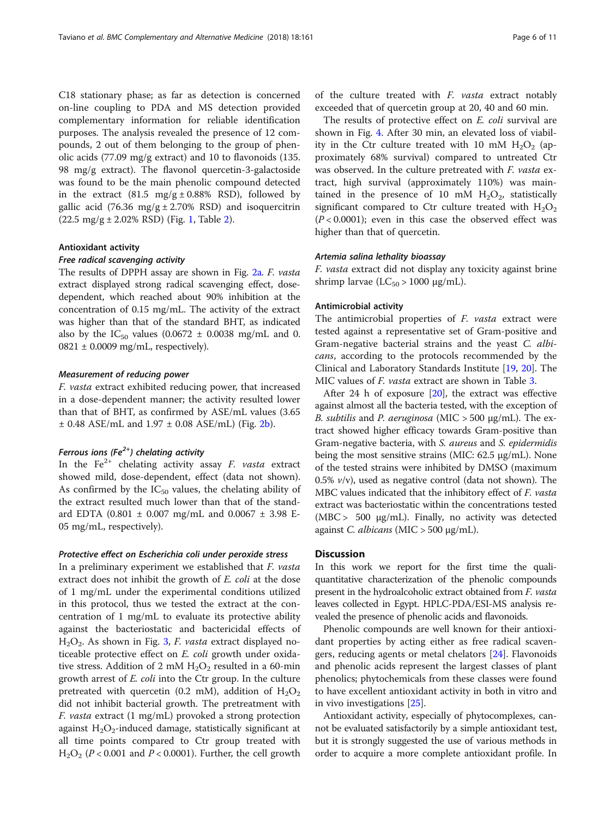C18 stationary phase; as far as detection is concerned on-line coupling to PDA and MS detection provided complementary information for reliable identification purposes. The analysis revealed the presence of 12 compounds, 2 out of them belonging to the group of phenolic acids (77.09 mg/g extract) and 10 to flavonoids (135. 98 mg/g extract). The flavonol quercetin-3-galactoside was found to be the main phenolic compound detected in the extract  $(81.5 \text{ mg/g} \pm 0.88\% \text{ RSD})$ , followed by gallic acid (76.36 mg/g  $\pm$  2.70% RSD) and isoquercitrin  $(22.5 \text{ mg/g} \pm 2.02\% \text{ RSD})$  (Fig. [1](#page-6-0), Table [2\)](#page-6-0).

#### Antioxidant activity

#### Free radical scavenging activity

The results of DPPH assay are shown in Fig. [2a](#page-7-0). F. vasta extract displayed strong radical scavenging effect, dosedependent, which reached about 90% inhibition at the concentration of 0.15 mg/mL. The activity of the extract was higher than that of the standard BHT, as indicated also by the IC<sub>50</sub> values (0.0672  $\pm$  0.0038 mg/mL and 0.  $0821 \pm 0.0009$  mg/mL, respectively).

### Measurement of reducing power

F. vasta extract exhibited reducing power, that increased in a dose-dependent manner; the activity resulted lower than that of BHT, as confirmed by ASE/mL values (3.65  $\pm$  0.48 ASE/mL and 1.97  $\pm$  0.08 ASE/mL) (Fig. [2b](#page-7-0)).

# Ferrous ions (Fe<sup>2+</sup>) chelating activity

In the  $Fe^{2+}$  chelating activity assay *F. vasta* extract showed mild, dose-dependent, effect (data not shown). As confirmed by the  $IC_{50}$  values, the chelating ability of the extract resulted much lower than that of the standard EDTA (0.801 ± 0.007 mg/mL and 0.0067 ± 3.98 E-05 mg/mL, respectively).

#### Protective effect on Escherichia coli under peroxide stress

In a preliminary experiment we established that F. vasta extract does not inhibit the growth of E. coli at the dose of 1 mg/mL under the experimental conditions utilized in this protocol, thus we tested the extract at the concentration of 1 mg/mL to evaluate its protective ability against the bacteriostatic and bactericidal effects of  $H<sub>2</sub>O<sub>2</sub>$ . As shown in Fig. [3,](#page-7-0) F. vasta extract displayed noticeable protective effect on *E. coli* growth under oxidative stress. Addition of 2 mM  $H_2O_2$  resulted in a 60-min growth arrest of E. coli into the Ctr group. In the culture pretreated with quercetin (0.2 mM), addition of  $H_2O_2$ did not inhibit bacterial growth. The pretreatment with F. vasta extract (1 mg/mL) provoked a strong protection against  $H_2O_2$ -induced damage, statistically significant at all time points compared to Ctr group treated with  $H<sub>2</sub>O<sub>2</sub>$  (P < 0.001 and P < 0.0001). Further, the cell growth of the culture treated with F. vasta extract notably exceeded that of quercetin group at 20, 40 and 60 min.

The results of protective effect on E. coli survival are shown in Fig. [4.](#page-8-0) After 30 min, an elevated loss of viability in the Ctr culture treated with 10 mM  $H_2O_2$  (approximately 68% survival) compared to untreated Ctr was observed. In the culture pretreated with F. vasta extract, high survival (approximately 110%) was maintained in the presence of 10 mM  $H_2O_2$ , statistically significant compared to Ctr culture treated with  $H_2O_2$  $(P < 0.0001)$ ; even in this case the observed effect was higher than that of quercetin.

# Artemia salina lethality bioassay

F. vasta extract did not display any toxicity against brine shrimp larvae ( $LC_{50}$  > 1000  $\mu$ g/mL).

#### Antimicrobial activity

The antimicrobial properties of *F. vasta* extract were tested against a representative set of Gram-positive and Gram-negative bacterial strains and the yeast C. albicans, according to the protocols recommended by the Clinical and Laboratory Standards Institute [\[19,](#page-10-0) [20\]](#page-10-0). The MIC values of *F. vasta* extract are shown in Table [3](#page-8-0).

After 24 h of exposure [[20](#page-10-0)], the extract was effective against almost all the bacteria tested, with the exception of B. subtilis and P. aeruginosa (MIC  $>$  500  $\mu$ g/mL). The extract showed higher efficacy towards Gram-positive than Gram-negative bacteria, with S. aureus and S. epidermidis being the most sensitive strains (MIC: 62.5 μg/mL). None of the tested strains were inhibited by DMSO (maximum 0.5%  $v/v$ , used as negative control (data not shown). The MBC values indicated that the inhibitory effect of F. vasta extract was bacteriostatic within the concentrations tested (MBC > 500 μg/mL). Finally, no activity was detected against C. albicans (MIC > 500 μg/mL).

# **Discussion**

In this work we report for the first time the qualiquantitative characterization of the phenolic compounds present in the hydroalcoholic extract obtained from F. vasta leaves collected in Egypt. HPLC-PDA/ESI-MS analysis revealed the presence of phenolic acids and flavonoids.

Phenolic compounds are well known for their antioxidant properties by acting either as free radical scavengers, reducing agents or metal chelators [[24](#page-10-0)]. Flavonoids and phenolic acids represent the largest classes of plant phenolics; phytochemicals from these classes were found to have excellent antioxidant activity in both in vitro and in vivo investigations [[25\]](#page-10-0).

Antioxidant activity, especially of phytocomplexes, cannot be evaluated satisfactorily by a simple antioxidant test, but it is strongly suggested the use of various methods in order to acquire a more complete antioxidant profile. In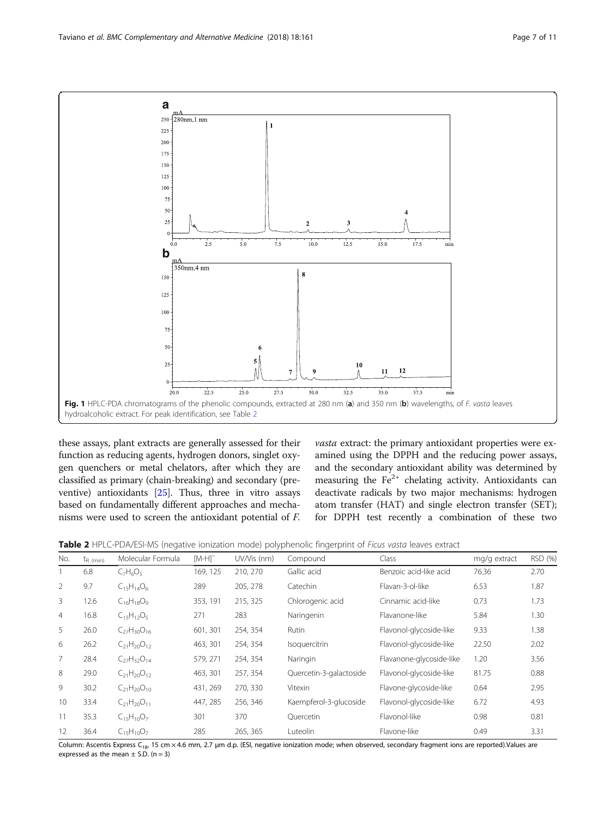<span id="page-6-0"></span>

these assays, plant extracts are generally assessed for their function as reducing agents, hydrogen donors, singlet oxygen quenchers or metal chelators, after which they are classified as primary (chain-breaking) and secondary (preventive) antioxidants [\[25\]](#page-10-0). Thus, three in vitro assays based on fundamentally different approaches and mechanisms were used to screen the antioxidant potential of F.

vasta extract: the primary antioxidant properties were examined using the DPPH and the reducing power assays, and the secondary antioxidant ability was determined by measuring the  $Fe<sup>2+</sup>$  chelating activity. Antioxidants can deactivate radicals by two major mechanisms: hydrogen atom transfer (HAT) and single electron transfer (SET); for DPPH test recently a combination of these two

|  | Table 2 HPLC-PDA/ESI-MS (negative ionization mode) polyphenolic fingerprint of Ficus vasta leaves extract |  |
|--|-----------------------------------------------------------------------------------------------------------|--|
|  |                                                                                                           |  |

| No.            | $t_{R \ (min)}$ | Molecular Formula    | $[M-H]^-$ | UV/Vis (nm) | Compound                | Class                    | mg/g extract | RSD (%) |
|----------------|-----------------|----------------------|-----------|-------------|-------------------------|--------------------------|--------------|---------|
|                | 6.8             | $C_7H_6O_5$          | 169, 125  | 210, 270    | Gallic acid             | Benzoic acid-like acid   | 76.36        | 2.70    |
| 2              | 9.7             | $C_{15}H_{14}O_6$    | 289       | 205, 278    | Catechin                | Flavan-3-ol-like         | 6.53         | 1.87    |
| 3              | 12.6            | $C_{16}H_{18}O_9$    | 353, 191  | 215, 325    | Chlorogenic acid        | Cinnamic acid-like       | 0.73         | 1.73    |
| $\overline{4}$ | 16.8            | $C_{15}H_{12}O_5$    | 271       | 283         | Naringenin              | Flavanone-like           | 5.84         | 1.30    |
| 5              | 26.0            | $C_{27}H_{30}O_{16}$ | 601, 301  | 254, 354    | Rutin                   | Flavonol-glycoside-like  | 9.33         | 1.38    |
| 6              | 26.2            | $C_{21}H_{20}O_{12}$ | 463, 301  | 254, 354    | Isoquercitrin           | Flavonol-glycoside-like  | 22.50        | 2.02    |
| 7              | 28.4            | $C_{27}H_{32}O_{14}$ | 579, 271  | 254, 354    | Naringin                | Flavanone-glycoside-like | 1.20         | 3.56    |
| 8              | 29.0            | $C_{21}H_{20}O_{12}$ | 463, 301  | 257, 354    | Quercetin-3-galactoside | Flavonol-glycoside-like  | 81.75        | 0.88    |
| 9              | 30.2            | $C_{21}H_{20}O_{10}$ | 431, 269  | 270, 330    | Vitexin                 | Flavone-glycoside-like   | 0.64         | 2.95    |
| 10             | 33.4            | $C_{21}H_{20}O_{11}$ | 447, 285  | 256, 346    | Kaempferol-3-glucoside  | Flavonol-glycoside-like  | 6.72         | 4.93    |
| 11             | 35.3            | $C_{15}H_{10}O_7$    | 301       | 370         | Ouercetin               | Flavonol-like            | 0.98         | 0.81    |
| 12             | 36.4            | $C_{15}H_{10}O_7$    | 285       | 265, 365    | Luteolin                | Flavone-like             | 0.49         | 3.31    |

Column: Ascentis Express C<sub>18</sub>, 15 cm × 4.6 mm, 2.7 μm d.p. (ESI, negative ionization mode; when observed, secondary fragment ions are reported).Values are expressed as the mean  $\pm$  S.D. (n = 3)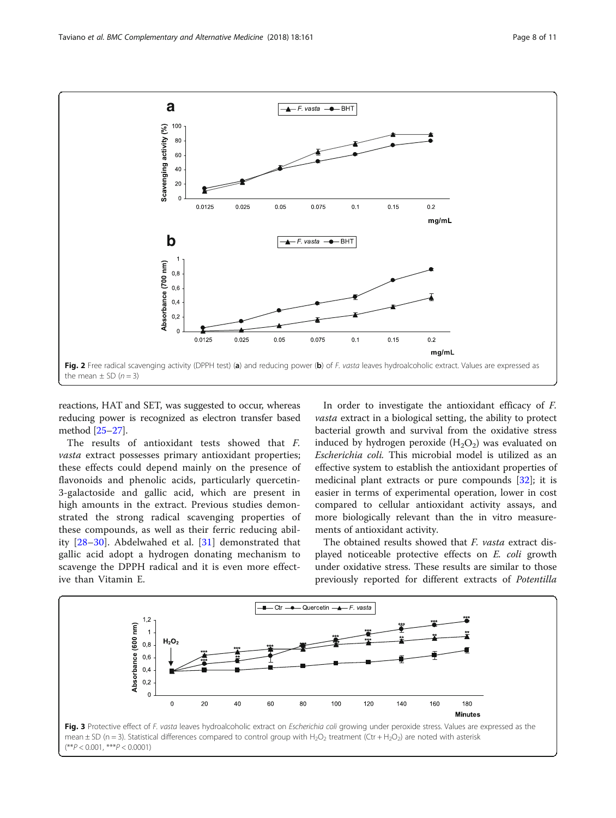<span id="page-7-0"></span>

reactions, HAT and SET, was suggested to occur, whereas reducing power is recognized as electron transfer based method [\[25](#page-10-0)–[27](#page-10-0)].

The results of antioxidant tests showed that F. vasta extract possesses primary antioxidant properties; these effects could depend mainly on the presence of flavonoids and phenolic acids, particularly quercetin-3-galactoside and gallic acid, which are present in high amounts in the extract. Previous studies demonstrated the strong radical scavenging properties of these compounds, as well as their ferric reducing ability [[28](#page-10-0)–[30\]](#page-10-0). Abdelwahed et al. [[31](#page-10-0)] demonstrated that gallic acid adopt a hydrogen donating mechanism to scavenge the DPPH radical and it is even more effective than Vitamin E.

In order to investigate the antioxidant efficacy of F. vasta extract in a biological setting, the ability to protect bacterial growth and survival from the oxidative stress induced by hydrogen peroxide  $(H_2O_2)$  was evaluated on Escherichia coli. This microbial model is utilized as an effective system to establish the antioxidant properties of medicinal plant extracts or pure compounds [\[32](#page-10-0)]; it is easier in terms of experimental operation, lower in cost compared to cellular antioxidant activity assays, and more biologically relevant than the in vitro measurements of antioxidant activity.

The obtained results showed that F. vasta extract displayed noticeable protective effects on E. coli growth under oxidative stress. These results are similar to those previously reported for different extracts of Potentilla



mean  $\pm$  SD (n = 3). Statistical differences compared to control group with H<sub>2</sub>O<sub>2</sub> treatment (Ctr + H<sub>2</sub>O<sub>2</sub>) are noted with asterisk  $(**P < 0.001, **P < 0.0001)$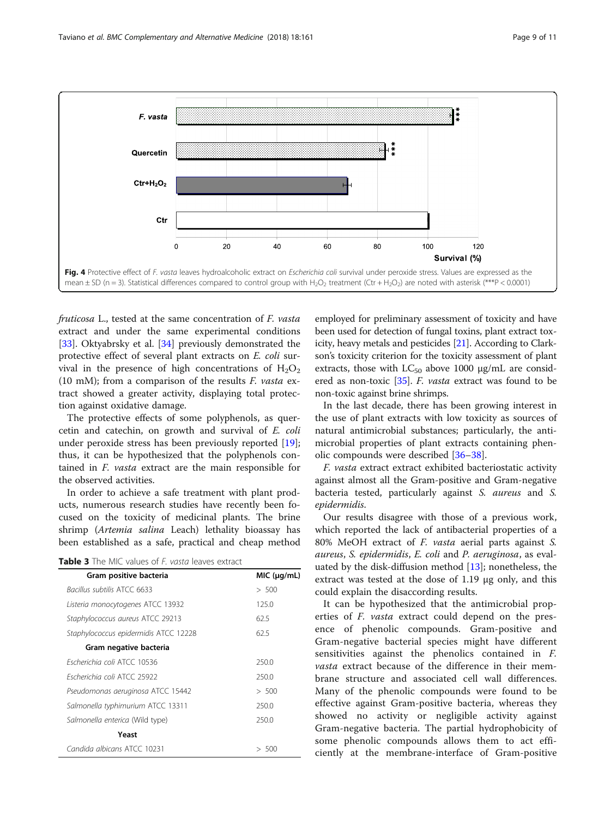<span id="page-8-0"></span>

fruticosa L., tested at the same concentration of F. vasta extract and under the same experimental conditions [[33\]](#page-10-0). Oktyabrsky et al. [[34\]](#page-10-0) previously demonstrated the protective effect of several plant extracts on E. coli survival in the presence of high concentrations of  $H_2O_2$ (10 mM); from a comparison of the results  $F$ . vasta extract showed a greater activity, displaying total protection against oxidative damage.

The protective effects of some polyphenols, as quercetin and catechin, on growth and survival of E. coli under peroxide stress has been previously reported [\[19](#page-10-0)]; thus, it can be hypothesized that the polyphenols contained in F. vasta extract are the main responsible for the observed activities.

In order to achieve a safe treatment with plant products, numerous research studies have recently been focused on the toxicity of medicinal plants. The brine shrimp (Artemia salina Leach) lethality bioassay has been established as a safe, practical and cheap method

| <b>Table 3</b> The MIC values of F. vasta leaves extract |  |
|----------------------------------------------------------|--|
|----------------------------------------------------------|--|

| Gram positive bacteria                | MIC (µg/mL) |
|---------------------------------------|-------------|
| Bacillus subtilis ATCC 6633           | > 500       |
| Listeria monocytogenes ATCC 13932     | 125.0       |
| Staphylococcus aureus ATCC 29213      | 62.5        |
| Staphylococcus epidermidis ATCC 12228 | 62.5        |
| Gram negative bacteria                |             |
| Escherichia coli ATCC 10536           | 250.0       |
| Escherichia coli ATCC 25922           | 250.0       |
| Pseudomonas aeruginosa ATCC 15442     | > 500       |
| Salmonella typhimurium ATCC 13311     | 250.0       |
| Salmonella enterica (Wild type)       | 250.0       |
| Yeast                                 |             |
| Candida albicans ATCC 10231           | 500         |

employed for preliminary assessment of toxicity and have been used for detection of fungal toxins, plant extract toxicity, heavy metals and pesticides [\[21\]](#page-10-0). According to Clarkson's toxicity criterion for the toxicity assessment of plant extracts, those with  $LC_{50}$  above 1000  $\mu$ g/mL are consid-ered as non-toxic [\[35\]](#page-10-0). F. vasta extract was found to be non-toxic against brine shrimps.

In the last decade, there has been growing interest in the use of plant extracts with low toxicity as sources of natural antimicrobial substances; particularly, the antimicrobial properties of plant extracts containing phenolic compounds were described [\[36](#page-10-0)–[38\]](#page-10-0).

F. vasta extract extract exhibited bacteriostatic activity against almost all the Gram-positive and Gram-negative bacteria tested, particularly against S. aureus and S. epidermidis.

Our results disagree with those of a previous work, which reported the lack of antibacterial properties of a 80% MeOH extract of F. vasta aerial parts against S. aureus, S. epidermidis, E. coli and P. aeruginosa, as evaluated by the disk-diffusion method [[13](#page-9-0)]; nonetheless, the extract was tested at the dose of 1.19 μg only, and this could explain the disaccording results.

It can be hypothesized that the antimicrobial properties of F. vasta extract could depend on the presence of phenolic compounds. Gram-positive and Gram-negative bacterial species might have different sensitivities against the phenolics contained in F. vasta extract because of the difference in their membrane structure and associated cell wall differences. Many of the phenolic compounds were found to be effective against Gram-positive bacteria, whereas they showed no activity or negligible activity against Gram-negative bacteria. The partial hydrophobicity of some phenolic compounds allows them to act efficiently at the membrane-interface of Gram-positive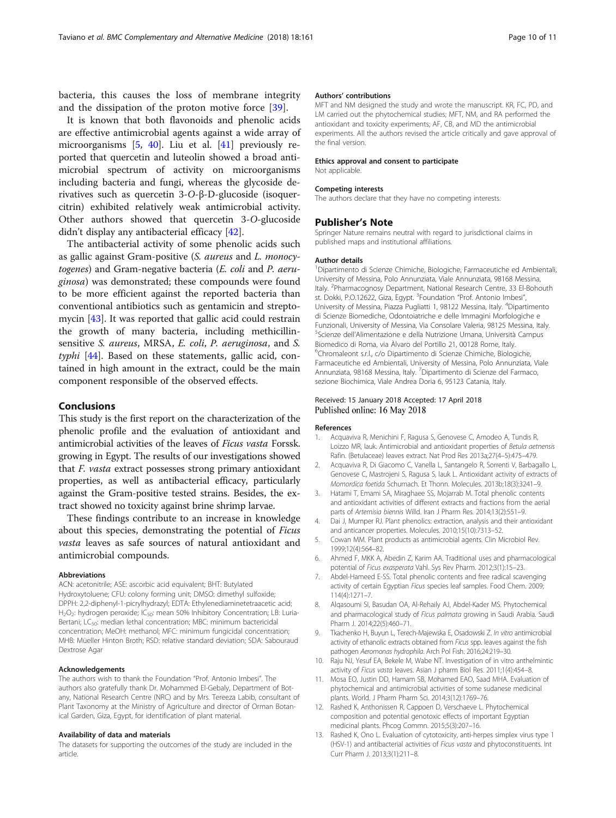<span id="page-9-0"></span>bacteria, this causes the loss of membrane integrity and the dissipation of the proton motive force [\[39](#page-10-0)].

It is known that both flavonoids and phenolic acids are effective antimicrobial agents against a wide array of microorganisms [5, [40](#page-10-0)]. Liu et al. [\[41](#page-10-0)] previously reported that quercetin and luteolin showed a broad antimicrobial spectrum of activity on microorganisms including bacteria and fungi, whereas the glycoside derivatives such as quercetin 3-O-β-D-glucoside (isoquercitrin) exhibited relatively weak antimicrobial activity. Other authors showed that quercetin 3-O-glucoside didn't display any antibacterial efficacy [[42\]](#page-10-0).

The antibacterial activity of some phenolic acids such as gallic against Gram-positive (S. aureus and L. monocytogenes) and Gram-negative bacteria (E. coli and P. aeruginosa) was demonstrated; these compounds were found to be more efficient against the reported bacteria than conventional antibiotics such as gentamicin and streptomycin [[43\]](#page-10-0). It was reported that gallic acid could restrain the growth of many bacteria, including methicillinsensitive S. aureus, MRSA, E. coli, P. aeruginosa, and S. typhi [[44\]](#page-10-0). Based on these statements, gallic acid, contained in high amount in the extract, could be the main component responsible of the observed effects.

# Conclusions

This study is the first report on the characterization of the phenolic profile and the evaluation of antioxidant and antimicrobial activities of the leaves of Ficus vasta Forssk. growing in Egypt. The results of our investigations showed that F. vasta extract possesses strong primary antioxidant properties, as well as antibacterial efficacy, particularly against the Gram-positive tested strains. Besides, the extract showed no toxicity against brine shrimp larvae.

These findings contribute to an increase in knowledge about this species, demonstrating the potential of Ficus vasta leaves as safe sources of natural antioxidant and antimicrobial compounds.

#### Abbreviations

ACN: acetonitrile; ASE: ascorbic acid equivalent; BHT: Butylated Hydroxytoluene; CFU: colony forming unit; DMSO: dimethyl sulfoxide; DPPH: 2,2-diphenyl-1-picrylhydrazyl; EDTA: Ethylenediaminetetraacetic acid; H<sub>2</sub>O<sub>2</sub>: hydrogen peroxide; IC<sub>50</sub>: mean 50% Inhibitory Concentration; LB: Luria-Bertani; LC<sub>50</sub>: median lethal concentration; MBC: minimum bactericidal concentration; MeOH: methanol; MFC: minimum fungicidal concentration; MHB: Müeller Hinton Broth; RSD: relative standard deviation; SDA: Sabouraud Dextrose Agar

#### Acknowledgements

The authors wish to thank the Foundation "Prof. Antonio Imbesi". The authors also gratefully thank Dr. Mohammed El-Gebaly, Department of Botany, National Research Centre (NRC) and by Mrs. Tereeza Labib, consultant of Plant Taxonomy at the Ministry of Agriculture and director of Orman Botanical Garden, Giza, Egypt, for identification of plant material.

#### Availability of data and materials

The datasets for supporting the outcomes of the study are included in the article.

#### Authors' contributions

MFT and NM designed the study and wrote the manuscript. KR, FC, PD, and LM carried out the phytochemical studies; MFT, NM, and RA performed the antioxidant and toxicity experiments; AF, CB, and MD the antimicrobial experiments. All the authors revised the article critically and gave approval of the final version.

#### Ethics approval and consent to participate

Not applicable.

#### Competing interests

The authors declare that they have no competing interests.

#### Publisher's Note

Springer Nature remains neutral with regard to jurisdictional claims in published maps and institutional affiliations.

#### Author details

1 Dipartimento di Scienze Chimiche, Biologiche, Farmaceutiche ed Ambientali, University of Messina, Polo Annunziata, Viale Annunziata, 98168 Messina, Italy. <sup>2</sup>Pharmacognosy Department, National Research Centre, 33 El-Bohouth st. Dokki, P.O.12622, Giza, Egypt. <sup>3</sup>Foundation "Prof. Antonio Imbesi", University of Messina, Piazza Pugliatti 1, 98122 Messina, Italy. <sup>4</sup>Dipartimento di Scienze Biomediche, Odontoiatriche e delle Immagini Morfologiche e Funzionali, University of Messina, Via Consolare Valeria, 98125 Messina, Italy. 5 Scienze dell'Alimentazione e della Nutrizione Umana, Università Campus Biomedico di Roma, via Àlvaro del Portillo 21, 00128 Rome, Italy. 6 Chromaleont s.r.l., c/o Dipartimento di Scienze Chimiche, Biologiche, Farmaceutiche ed Ambientali, University of Messina, Polo Annunziata, Viale Annunziata, 98168 Messina, Italy. <sup>7</sup>Dipartimento di Scienze del Farmaco, sezione Biochimica, Viale Andrea Doria 6, 95123 Catania, Italy.

#### Received: 15 January 2018 Accepted: 17 April 2018 Published online: 16 May 2018

#### References

- 1. Acquaviva R, Menichini F, Ragusa S, Genovese C, Amodeo A, Tundis R, Loizzo MR, Iauk. Antimicrobial and antioxidant properties of Betula aetnensis Rafin. (Betulaceae) leaves extract. Nat Prod Res 2013a;27(4–5):475–479.
- 2. Acquaviva R, Di Giacomo C, Vanella L, Santangelo R, Sorrenti V, Barbagallo L, Genovese C, Mastrojeni S, Ragusa S, Iauk L. Antioxidant activity of extracts of Momordica foetida Schumach. Et Thonn. Molecules. 2013b;18(3):3241–9.
- 3. Hatami T, Emami SA, Miraghaee SS, Mojarrab M. Total phenolic contents and antioxidant activities of different extracts and fractions from the aerial parts of Artemisia biennis Willd. Iran J Pharm Res. 2014;13(2):551–9.
- 4. Dai J, Mumper RJ. Plant phenolics: extraction, analysis and their antioxidant and anticancer properties. Molecules. 2010;15(10):7313–52.
- 5. Cowan MM. Plant products as antimicrobial agents. Clin Microbiol Rev. 1999;12(4):564–82.
- 6. Ahmed F, MKK A, Abedin Z, Karim AA. Traditional uses and pharmacological potential of Ficus exasperata Vahl. Sys Rev Pharm. 2012;3(1):15–23.
- 7. Abdel-Hameed E-SS. Total phenolic contents and free radical scavenging activity of certain Egyptian Ficus species leaf samples. Food Chem. 2009; 114(4):1271–7.
- 8. Alqasoumi SI, Basudan OA, Al-Rehaily AJ, Abdel-Kader MS. Phytochemical and pharmacological study of Ficus palmata growing in Saudi Arabia. Saudi Pharm J. 2014;22(5):460–71.
- 9. Tkachenko H, Buyun L, Terech-Majewska E, Osadowski Z. In vitro antimicrobial activity of ethanolic extracts obtained from Ficus spp. leaves against the fish pathogen Aeromonas hydrophila. Arch Pol Fish. 2016;24:219–30.
- 10. Raju NJ, Yesuf EA, Bekele M, Wabe NT. Investigation of in vitro anthelmintic activity of Ficus vasta leaves. Asian J pharm Biol Res. 2011;1(4):454–8.
- 11. Mosa EO, Justin DD, Hamam SB, Mohamed EAO, Saad MHA. Evaluation of phytochemical and antimicrobial activities of some sudanese medicinal plants. World. J Pharm Pharm Sci. 2014;3(12):1769–76.
- 12. Rashed K, Anthonissen R, Cappoen D, Verschaeve L. Phytochemical composition and potential genotoxic effects of important Egyptian medicinal plants. Phcog Commn. 2015;5(3):207–16.
- 13. Rashed K, Ono L. Evaluation of cytotoxicity, anti-herpes simplex virus type 1 (HSV-1) and antibacterial activities of Ficus vasta and phytoconstituents. Int Curr Pharm J. 2013;3(1):211–8.